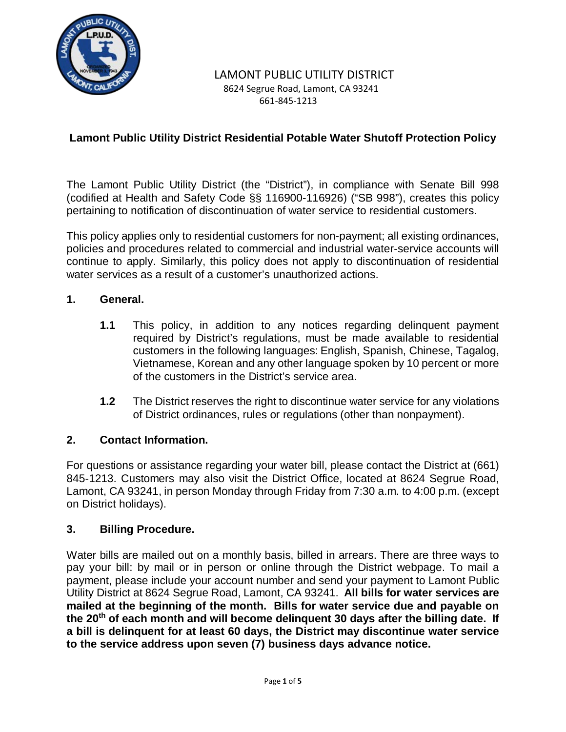

### LAMONT PUBLIC UTILITY DISTRICT 8624 Segrue Road, Lamont, CA 93241 661-845-1213

## **Lamont Public Utility District Residential Potable Water Shutoff Protection Policy**

The Lamont Public Utility District (the "District"), in compliance with Senate Bill 998 (codified at Health and Safety Code §§ 116900-116926) ("SB 998"), creates this policy pertaining to notification of discontinuation of water service to residential customers.

This policy applies only to residential customers for non-payment; all existing ordinances, policies and procedures related to commercial and industrial water-service accounts will continue to apply. Similarly, this policy does not apply to discontinuation of residential water services as a result of a customer's unauthorized actions.

### **1. General.**

- **1.1** This policy, in addition to any notices regarding delinquent payment required by District's regulations, must be made available to residential customers in the following languages: English, Spanish, Chinese, Tagalog, Vietnamese, Korean and any other language spoken by 10 percent or more of the customers in the District's service area.
- **1.2** The District reserves the right to discontinue water service for any violations of District ordinances, rules or regulations (other than nonpayment).

### **2. Contact Information.**

For questions or assistance regarding your water bill, please contact the District at (661) 845-1213. Customers may also visit the District Office, located at 8624 Segrue Road, Lamont, CA 93241, in person Monday through Friday from 7:30 a.m. to 4:00 p.m. (except on District holidays).

#### **3. Billing Procedure.**

Water bills are mailed out on a monthly basis, billed in arrears. There are three ways to pay your bill: by mail or in person or online through the District webpage. To mail a payment, please include your account number and send your payment to Lamont Public Utility District at 8624 Segrue Road, Lamont, CA 93241. **All bills for water services are mailed at the beginning of the month. Bills for water service due and payable on the 20th of each month and will become delinquent 30 days after the billing date. If a bill is delinquent for at least 60 days, the District may discontinue water service to the service address upon seven (7) business days advance notice.**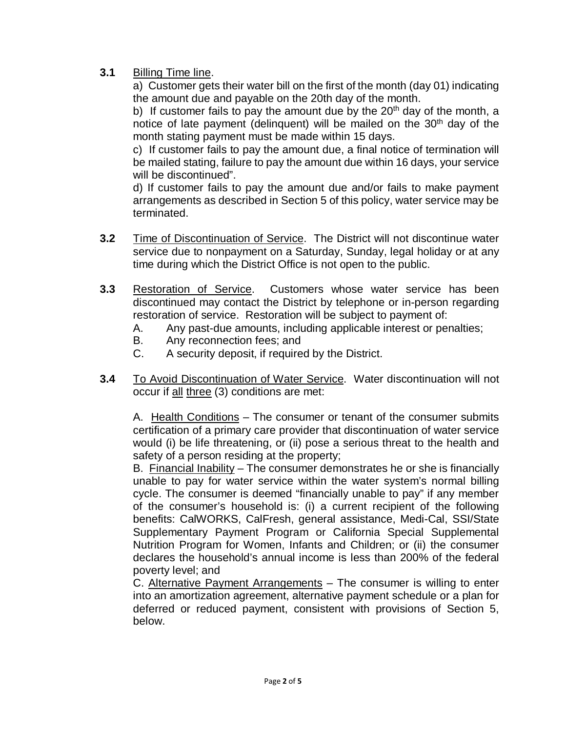# **3.1** Billing Time line.

a) Customer gets their water bill on the first of the month (day 01) indicating the amount due and payable on the 20th day of the month.

b) If customer fails to pay the amount due by the  $20<sup>th</sup>$  day of the month, a notice of late payment (delinguent) will be mailed on the  $30<sup>th</sup>$  day of the month stating payment must be made within 15 days.

c) If customer fails to pay the amount due, a final notice of termination will be mailed stating, failure to pay the amount due within 16 days, your service will be discontinued".

d) If customer fails to pay the amount due and/or fails to make payment arrangements as described in Section 5 of this policy, water service may be terminated.

- **3.2** Time of Discontinuation of Service. The District will not discontinue water service due to nonpayment on a Saturday, Sunday, legal holiday or at any time during which the District Office is not open to the public.
- **3.3** Restoration of Service. Customers whose water service has been discontinued may contact the District by telephone or in-person regarding restoration of service. Restoration will be subject to payment of:
	- A. Any past-due amounts, including applicable interest or penalties;
	- B. Any reconnection fees; and
	- C. A security deposit, if required by the District.
- **3.4** To Avoid Discontinuation of Water Service. Water discontinuation will not occur if all three (3) conditions are met:

A. Health Conditions – The consumer or tenant of the consumer submits certification of a primary care provider that discontinuation of water service would (i) be life threatening, or (ii) pose a serious threat to the health and safety of a person residing at the property;

B. Financial Inability - The consumer demonstrates he or she is financially unable to pay for water service within the water system's normal billing cycle. The consumer is deemed "financially unable to pay" if any member of the consumer's household is: (i) a current recipient of the following benefits: CalWORKS, CalFresh, general assistance, Medi-Cal, SSI/State Supplementary Payment Program or California Special Supplemental Nutrition Program for Women, Infants and Children; or (ii) the consumer declares the household's annual income is less than 200% of the federal poverty level; and

C. Alternative Payment Arrangements – The consumer is willing to enter into an amortization agreement, alternative payment schedule or a plan for deferred or reduced payment, consistent with provisions of Section 5, below.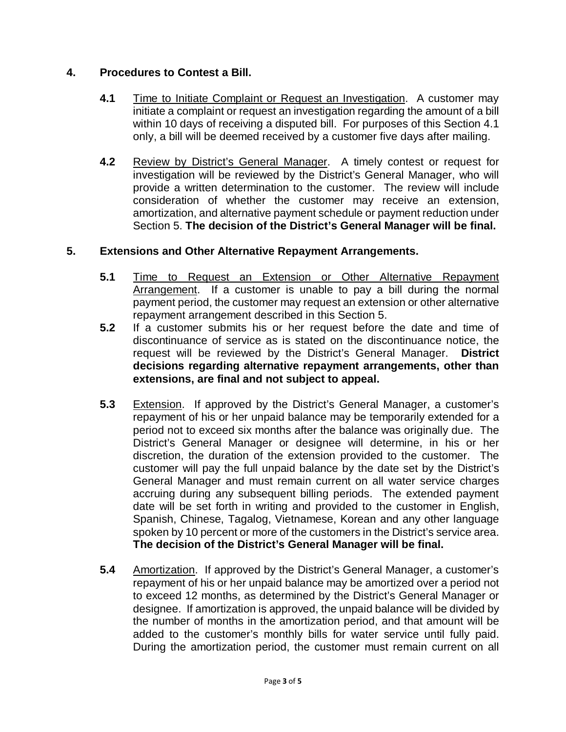# **4. Procedures to Contest a Bill.**

- **4.1** Time to Initiate Complaint or Request an Investigation. A customer may initiate a complaint or request an investigation regarding the amount of a bill within 10 days of receiving a disputed bill. For purposes of this Section 4.1 only, a bill will be deemed received by a customer five days after mailing.
- **4.2** Review by District's General Manager. A timely contest or request for investigation will be reviewed by the District's General Manager, who will provide a written determination to the customer. The review will include consideration of whether the customer may receive an extension, amortization, and alternative payment schedule or payment reduction under Section 5. **The decision of the District's General Manager will be final.**

## **5. Extensions and Other Alternative Repayment Arrangements.**

- **5.1** Time to Request an Extension or Other Alternative Repayment Arrangement. If a customer is unable to pay a bill during the normal payment period, the customer may request an extension or other alternative repayment arrangement described in this Section 5.
- **5.2** If a customer submits his or her request before the date and time of discontinuance of service as is stated on the discontinuance notice, the request will be reviewed by the District's General Manager. **District decisions regarding alternative repayment arrangements, other than extensions, are final and not subject to appeal.**
- **5.3** Extension. If approved by the District's General Manager, a customer's repayment of his or her unpaid balance may be temporarily extended for a period not to exceed six months after the balance was originally due. The District's General Manager or designee will determine, in his or her discretion, the duration of the extension provided to the customer. The customer will pay the full unpaid balance by the date set by the District's General Manager and must remain current on all water service charges accruing during any subsequent billing periods. The extended payment date will be set forth in writing and provided to the customer in English, Spanish, Chinese, Tagalog, Vietnamese, Korean and any other language spoken by 10 percent or more of the customers in the District's service area. **The decision of the District's General Manager will be final.**
- **5.4** Amortization. If approved by the District's General Manager, a customer's repayment of his or her unpaid balance may be amortized over a period not to exceed 12 months, as determined by the District's General Manager or designee. If amortization is approved, the unpaid balance will be divided by the number of months in the amortization period, and that amount will be added to the customer's monthly bills for water service until fully paid. During the amortization period, the customer must remain current on all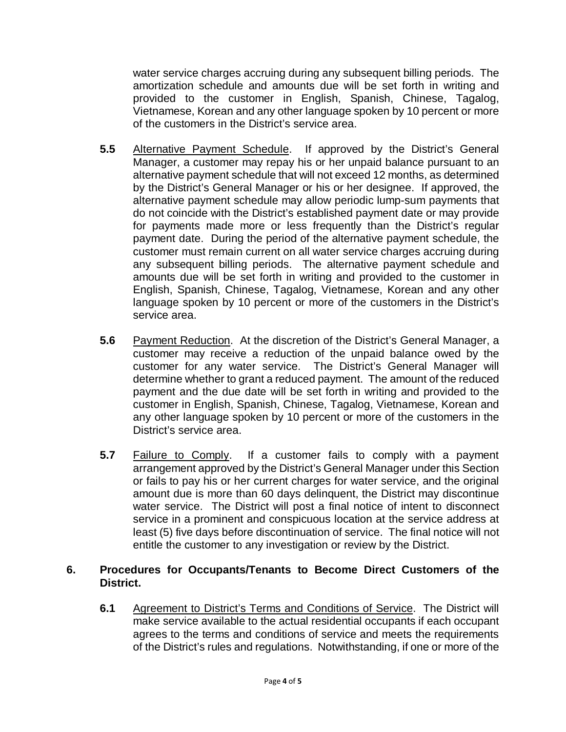water service charges accruing during any subsequent billing periods. The amortization schedule and amounts due will be set forth in writing and provided to the customer in English, Spanish, Chinese, Tagalog, Vietnamese, Korean and any other language spoken by 10 percent or more of the customers in the District's service area.

- **5.5** Alternative Payment Schedule. If approved by the District's General Manager, a customer may repay his or her unpaid balance pursuant to an alternative payment schedule that will not exceed 12 months, as determined by the District's General Manager or his or her designee. If approved, the alternative payment schedule may allow periodic lump-sum payments that do not coincide with the District's established payment date or may provide for payments made more or less frequently than the District's regular payment date. During the period of the alternative payment schedule, the customer must remain current on all water service charges accruing during any subsequent billing periods. The alternative payment schedule and amounts due will be set forth in writing and provided to the customer in English, Spanish, Chinese, Tagalog, Vietnamese, Korean and any other language spoken by 10 percent or more of the customers in the District's service area.
- **5.6** Payment Reduction. At the discretion of the District's General Manager, a customer may receive a reduction of the unpaid balance owed by the customer for any water service. The District's General Manager will determine whether to grant a reduced payment. The amount of the reduced payment and the due date will be set forth in writing and provided to the customer in English, Spanish, Chinese, Tagalog, Vietnamese, Korean and any other language spoken by 10 percent or more of the customers in the District's service area.
- **5.7** Failure to Comply. If a customer fails to comply with a payment arrangement approved by the District's General Manager under this Section or fails to pay his or her current charges for water service, and the original amount due is more than 60 days delinquent, the District may discontinue water service. The District will post a final notice of intent to disconnect service in a prominent and conspicuous location at the service address at least (5) five days before discontinuation of service. The final notice will not entitle the customer to any investigation or review by the District.

## **6. Procedures for Occupants/Tenants to Become Direct Customers of the District.**

**6.1** Agreement to District's Terms and Conditions of Service. The District will make service available to the actual residential occupants if each occupant agrees to the terms and conditions of service and meets the requirements of the District's rules and regulations. Notwithstanding, if one or more of the